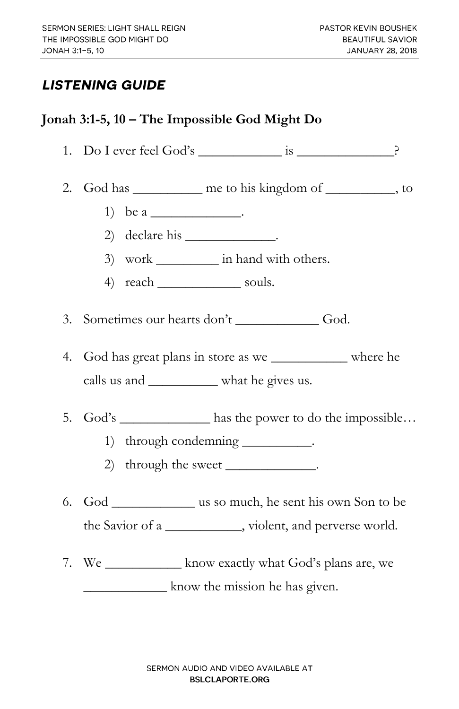## **LISTENING GUIDE**

## **Jonah 3:1-5, 10 – The Impossible God Might Do**

- 1. Do I ever feel God's \_\_\_\_\_\_\_\_\_\_\_\_ is \_\_\_\_\_\_\_\_\_\_\_\_\_\_?
- 2. God has <u>equal</u> me to his kingdom of the state of the state of the state of  $\sim$ 
	- 1) be a  $\frac{1}{2}$ .
	- 2) declare his 200
	- 3) work in hand with others.
	- 4) reach souls.
- 3. Sometimes our hearts don't God.
- 4. God has great plans in store as we \_\_\_\_\_\_\_\_\_\_\_ where he calls us and \_\_\_\_\_\_\_\_\_\_ what he gives us.
- 5. God's has the power to do the impossible…
	- 1) through condemning \_\_\_\_\_\_\_\_\_.
	- 2) through the sweet \_\_\_\_\_\_\_\_\_\_\_\_\_\_.
- 6. God \_\_\_\_\_\_\_\_\_\_\_\_ us so much, he sent his own Son to be the Savior of a \_\_\_\_\_\_\_\_\_\_\_, violent, and perverse world.
- 7. We \_\_\_\_\_\_\_\_\_\_\_ know exactly what God's plans are, we know the mission he has given.